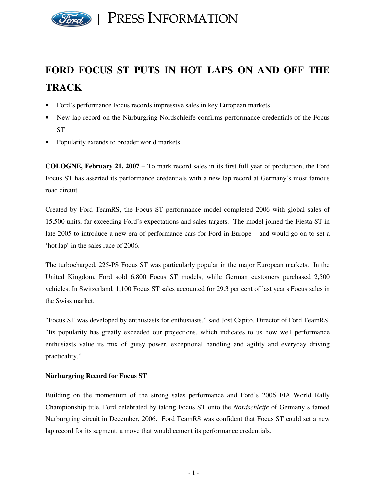

## **FORD FOCUS ST PUTS IN HOT LAPS ON AND OFF THE TRACK**

- Ford's performance Focus records impressive sales in key European markets
- New lap record on the Nürburgring Nordschleife confirms performance credentials of the Focus **ST**
- Popularity extends to broader world markets

**COLOGNE, February 21, 2007** – To mark record sales in its first full year of production, the Ford Focus ST has asserted its performance credentials with a new lap record at Germany's most famous road circuit.

Created by Ford TeamRS, the Focus ST performance model completed 2006 with global sales of 15,500 units, far exceeding Ford's expectations and sales targets. The model joined the Fiesta ST in late 2005 to introduce a new era of performance cars for Ford in Europe – and would go on to set a 'hot lap' in the sales race of 2006.

The turbocharged, 225-PS Focus ST was particularly popular in the major European markets. In the United Kingdom, Ford sold 6,800 Focus ST models, while German customers purchased 2,500 vehicles. In Switzerland, 1,100 Focus ST sales accounted for 29.3 per cent of last year's Focus sales in the Swiss market.

"Focus ST was developed by enthusiasts for enthusiasts," said Jost Capito, Director of Ford TeamRS. "Its popularity has greatly exceeded our projections, which indicates to us how well performance enthusiasts value its mix of gutsy power, exceptional handling and agility and everyday driving practicality."

## **Nürburgring Record for Focus ST**

Building on the momentum of the strong sales performance and Ford's 2006 FIA World Rally Championship title, Ford celebrated by taking Focus ST onto the *Nordschleife* of Germany's famed Nürburgring circuit in December, 2006. Ford TeamRS was confident that Focus ST could set a new lap record for its segment, a move that would cement its performance credentials.